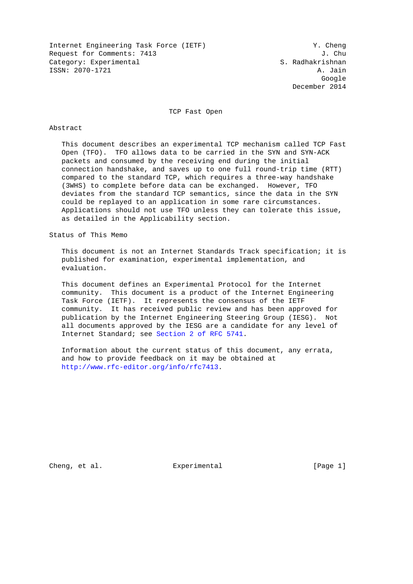Internet Engineering Task Force (IETF) Y. Cheng Request for Comments: 7413 J. Chu Category: Experimental S. Radhakrishnan ISSN: 2070-1721 A. Jain

google is a strategy of the control of the control of the control of the control of the control of the control of the control of the control of the control of the control of the control of the control of the control of the December 2014

TCP Fast Open

### Abstract

 This document describes an experimental TCP mechanism called TCP Fast Open (TFO). TFO allows data to be carried in the SYN and SYN-ACK packets and consumed by the receiving end during the initial connection handshake, and saves up to one full round-trip time (RTT) compared to the standard TCP, which requires a three-way handshake (3WHS) to complete before data can be exchanged. However, TFO deviates from the standard TCP semantics, since the data in the SYN could be replayed to an application in some rare circumstances. Applications should not use TFO unless they can tolerate this issue, as detailed in the Applicability section.

Status of This Memo

 This document is not an Internet Standards Track specification; it is published for examination, experimental implementation, and evaluation.

 This document defines an Experimental Protocol for the Internet community. This document is a product of the Internet Engineering Task Force (IETF). It represents the consensus of the IETF community. It has received public review and has been approved for publication by the Internet Engineering Steering Group (IESG). Not all documents approved by the IESG are a candidate for any level of Internet Standard; see [Section 2 of RFC 5741.](http://tools.ietf.org/pdf/rfc5741#section-2)

 Information about the current status of this document, any errata, and how to provide feedback on it may be obtained at [http://www.rfc-editor.org/info/rfc7413.](http://www.rfc-editor.org/info/rfc7413)

Cheng, et al. **Experimental** [Page 1]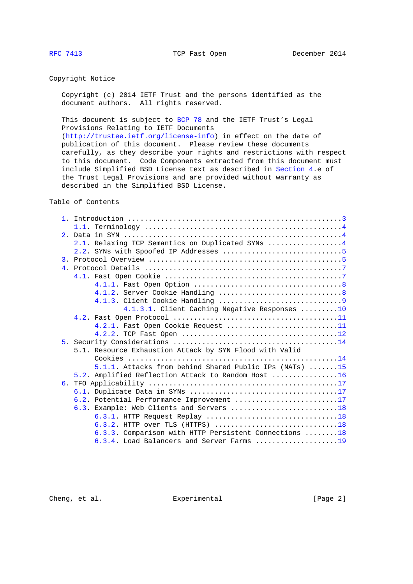# Copyright Notice

 Copyright (c) 2014 IETF Trust and the persons identified as the document authors. All rights reserved.

 This document is subject to [BCP 78](http://tools.ietf.org/pdf/bcp78) and the IETF Trust's Legal Provisions Relating to IETF Documents

 [\(http://trustee.ietf.org/license-info\)](http://trustee.ietf.org/license-info) in effect on the date of publication of this document. Please review these documents carefully, as they describe your rights and restrictions with respect to this document. Code Components extracted from this document must include Simplified BSD License text as described in [Section 4.](#page-6-0)e of the Trust Legal Provisions and are provided without warranty as described in the Simplified BSD License.

Table of Contents

| 2.1. Relaxing TCP Semantics on Duplicated SYNs 4                                                      |  |  |  |
|-------------------------------------------------------------------------------------------------------|--|--|--|
|                                                                                                       |  |  |  |
|                                                                                                       |  |  |  |
|                                                                                                       |  |  |  |
|                                                                                                       |  |  |  |
|                                                                                                       |  |  |  |
|                                                                                                       |  |  |  |
|                                                                                                       |  |  |  |
| 4.1.3.1. Client Caching Negative Responses 10                                                         |  |  |  |
|                                                                                                       |  |  |  |
| 4.2.1. Fast Open Cookie Request 11                                                                    |  |  |  |
|                                                                                                       |  |  |  |
|                                                                                                       |  |  |  |
| 5.1. Resource Exhaustion Attack by SYN Flood with Valid                                               |  |  |  |
|                                                                                                       |  |  |  |
| 5.1.1. Attacks from behind Shared Public IPs (NATs) 15                                                |  |  |  |
| 5.2. Amplified Reflection Attack to Random Host 16                                                    |  |  |  |
|                                                                                                       |  |  |  |
|                                                                                                       |  |  |  |
| 6.2. Potential Performance Improvement 17                                                             |  |  |  |
| 6.3. Example: Web Clients and Servers 18                                                              |  |  |  |
| 6.3.1. HTTP Request Replay $\ldots \ldots \ldots \ldots \ldots \ldots \ldots \ldots \ldots \ldots 18$ |  |  |  |
|                                                                                                       |  |  |  |
| 6.3.3. Comparison with HTTP Persistent Connections 18                                                 |  |  |  |
| 6.3.4. Load Balancers and Server Farms 19                                                             |  |  |  |

Cheng, et al. Experimental Experimental [Page 2]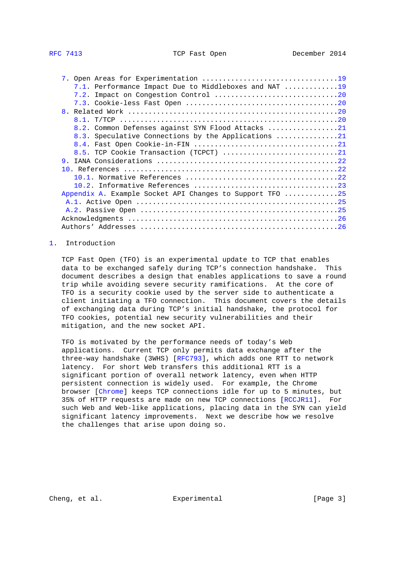<span id="page-2-1"></span>

| 7.1. Performance Impact Due to Middleboxes and NAT 19    |  |
|----------------------------------------------------------|--|
|                                                          |  |
|                                                          |  |
|                                                          |  |
|                                                          |  |
| 8.2. Common Defenses against SYN Flood Attacks 21        |  |
| 8.3. Speculative Connections by the Applications 21      |  |
|                                                          |  |
|                                                          |  |
| 9 <sub>1</sub>                                           |  |
|                                                          |  |
|                                                          |  |
|                                                          |  |
| Appendix A. Example Socket API Changes to Support TFO 25 |  |
|                                                          |  |
|                                                          |  |
|                                                          |  |
|                                                          |  |

# <span id="page-2-0"></span>[1.](#page-2-0) Introduction

 TCP Fast Open (TFO) is an experimental update to TCP that enables data to be exchanged safely during TCP's connection handshake. This document describes a design that enables applications to save a round trip while avoiding severe security ramifications. At the core of TFO is a security cookie used by the server side to authenticate a client initiating a TFO connection. This document covers the details of exchanging data during TCP's initial handshake, the protocol for TFO cookies, potential new security vulnerabilities and their mitigation, and the new socket API.

 TFO is motivated by the performance needs of today's Web applications. Current TCP only permits data exchange after the three-way handshake (3WHS) [\[RFC793\]](http://tools.ietf.org/pdf/rfc793), which adds one RTT to network latency. For short Web transfers this additional RTT is a significant portion of overall network latency, even when HTTP persistent connection is widely used. For example, the Chrome browser [\[Chrome\]](#page-22-2) keeps TCP connections idle for up to 5 minutes, but 35% of HTTP requests are made on new TCP connections [\[RCCJR11\]](#page-23-0). For such Web and Web-like applications, placing data in the SYN can yield significant latency improvements. Next we describe how we resolve the challenges that arise upon doing so.

Cheng, et al. Experimental Experimental [Page 3]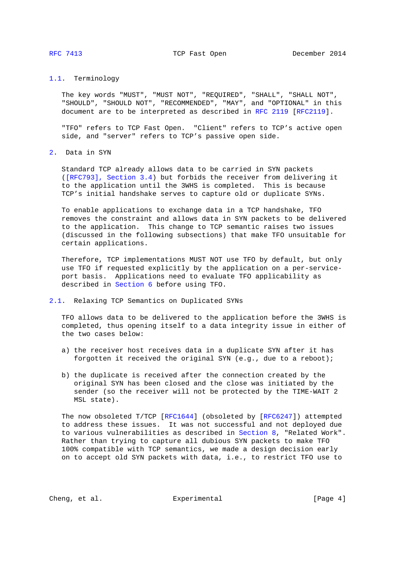# <span id="page-3-1"></span><span id="page-3-0"></span>[1.1.](#page-3-0) Terminology

 The key words "MUST", "MUST NOT", "REQUIRED", "SHALL", "SHALL NOT", "SHOULD", "SHOULD NOT", "RECOMMENDED", "MAY", and "OPTIONAL" in this document are to be interpreted as described in [RFC 2119 \[RFC2119\]](http://tools.ietf.org/pdf/rfc2119).

 "TFO" refers to TCP Fast Open. "Client" refers to TCP's active open side, and "server" refers to TCP's passive open side.

# <span id="page-3-2"></span>[2.](#page-3-2) Data in SYN

 Standard TCP already allows data to be carried in SYN packets [\(\[RFC793\], Section 3.4\)](http://tools.ietf.org/pdf/rfc793#section-3.4) but forbids the receiver from delivering it to the application until the 3WHS is completed. This is because TCP's initial handshake serves to capture old or duplicate SYNs.

 To enable applications to exchange data in a TCP handshake, TFO removes the constraint and allows data in SYN packets to be delivered to the application. This change to TCP semantic raises two issues (discussed in the following subsections) that make TFO unsuitable for certain applications.

 Therefore, TCP implementations MUST NOT use TFO by default, but only use TFO if requested explicitly by the application on a per-service port basis. Applications need to evaluate TFO applicability as described in [Section 6](#page-16-0) before using TFO.

## <span id="page-3-3"></span>[2.1.](#page-3-3) Relaxing TCP Semantics on Duplicated SYNs

 TFO allows data to be delivered to the application before the 3WHS is completed, thus opening itself to a data integrity issue in either of the two cases below:

- a) the receiver host receives data in a duplicate SYN after it has forgotten it received the original SYN (e.g., due to a reboot);
- b) the duplicate is received after the connection created by the original SYN has been closed and the close was initiated by the sender (so the receiver will not be protected by the TIME-WAIT 2 MSL state).

 The now obsoleted T/TCP [\[RFC1644\]](http://tools.ietf.org/pdf/rfc1644) (obsoleted by [\[RFC6247\]](http://tools.ietf.org/pdf/rfc6247)) attempted to address these issues. It was not successful and not deployed due to various vulnerabilities as described in [Section 8,](#page-19-3) "Related Work". Rather than trying to capture all dubious SYN packets to make TFO 100% compatible with TCP semantics, we made a design decision early on to accept old SYN packets with data, i.e., to restrict TFO use to

Cheng, et al. Experimental Experimental [Page 4]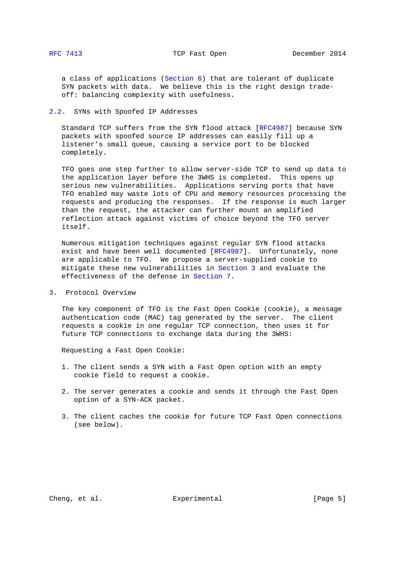<span id="page-4-1"></span> a class of applications [\(Section 6\)](#page-16-0) that are tolerant of duplicate SYN packets with data. We believe this is the right design trade off: balancing complexity with usefulness.

# <span id="page-4-0"></span>[2.2.](#page-4-0) SYNs with Spoofed IP Addresses

 Standard TCP suffers from the SYN flood attack [\[RFC4987\]](http://tools.ietf.org/pdf/rfc4987) because SYN packets with spoofed source IP addresses can easily fill up a listener's small queue, causing a service port to be blocked completely.

 TFO goes one step further to allow server-side TCP to send up data to the application layer before the 3WHS is completed. This opens up serious new vulnerabilities. Applications serving ports that have TFO enabled may waste lots of CPU and memory resources processing the requests and producing the responses. If the response is much larger than the request, the attacker can further mount an amplified reflection attack against victims of choice beyond the TFO server itself.

 Numerous mitigation techniques against regular SYN flood attacks exist and have been well documented [\[RFC4987\]](http://tools.ietf.org/pdf/rfc4987). Unfortunately, none are applicable to TFO. We propose a server-supplied cookie to mitigate these new vulnerabilities in [Section 3](#page-4-2) and evaluate the effectiveness of the defense in [Section 7.](#page-18-2)

<span id="page-4-2"></span>[3.](#page-4-2) Protocol Overview

 The key component of TFO is the Fast Open Cookie (cookie), a message authentication code (MAC) tag generated by the server. The client requests a cookie in one regular TCP connection, then uses it for future TCP connections to exchange data during the 3WHS:

Requesting a Fast Open Cookie:

- 1. The client sends a SYN with a Fast Open option with an empty cookie field to request a cookie.
- 2. The server generates a cookie and sends it through the Fast Open option of a SYN-ACK packet.
- 3. The client caches the cookie for future TCP Fast Open connections (see below).

Cheng, et al. Experimental [Page 5]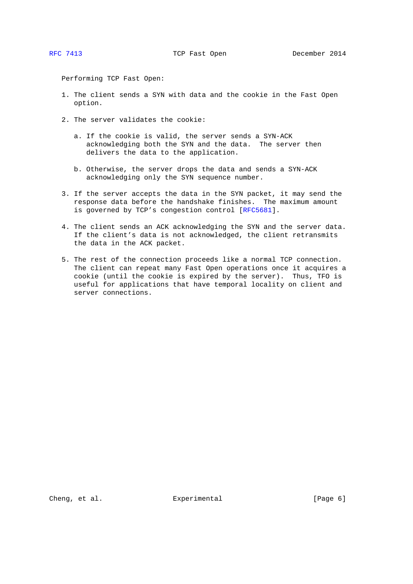Performing TCP Fast Open:

- 1. The client sends a SYN with data and the cookie in the Fast Open option.
- 2. The server validates the cookie:
	- a. If the cookie is valid, the server sends a SYN-ACK acknowledging both the SYN and the data. The server then delivers the data to the application.
	- b. Otherwise, the server drops the data and sends a SYN-ACK acknowledging only the SYN sequence number.
- 3. If the server accepts the data in the SYN packet, it may send the response data before the handshake finishes. The maximum amount is governed by TCP's congestion control [\[RFC5681\]](http://tools.ietf.org/pdf/rfc5681).
- 4. The client sends an ACK acknowledging the SYN and the server data. If the client's data is not acknowledged, the client retransmits the data in the ACK packet.
- 5. The rest of the connection proceeds like a normal TCP connection. The client can repeat many Fast Open operations once it acquires a cookie (until the cookie is expired by the server). Thus, TFO is useful for applications that have temporal locality on client and server connections.

Cheng, et al. Experimental Experimental [Page 6]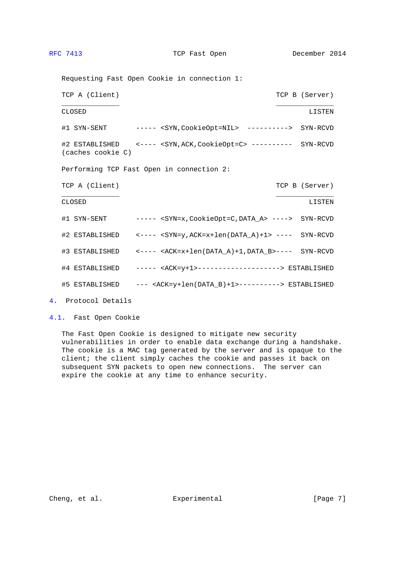<span id="page-6-1"></span>

| Requesting Fast Open Cookie in connection 1: |                                                                                             |  |                |  |  |  |
|----------------------------------------------|---------------------------------------------------------------------------------------------|--|----------------|--|--|--|
| TCP A (Client)                               |                                                                                             |  | TCP B (Server) |  |  |  |
| CLOSED                                       |                                                                                             |  | LISTEN         |  |  |  |
|                                              |                                                                                             |  |                |  |  |  |
| (caches cookie C)                            | #2 ESTABLISHED <---- <syn, ack,="" cookieopt="C"> ---------- SYN-RCVD</syn,>                |  |                |  |  |  |
|                                              | Performing TCP Fast Open in connection 2:                                                   |  |                |  |  |  |
| TCP A (Client)                               |                                                                                             |  | TCP B (Server) |  |  |  |
| CLOSED                                       |                                                                                             |  | LISTEN         |  |  |  |
|                                              |                                                                                             |  |                |  |  |  |
|                                              |                                                                                             |  |                |  |  |  |
|                                              | #3 ESTABLISHED <---- <ack=x+len(data_a)+1,data_b>---- SYN-RCVD</ack=x+len(data_a)+1,data_b> |  |                |  |  |  |
|                                              | #4 ESTABLISHED  ----- <ack=y+1>--------------------&gt; ESTABLISHED</ack=y+1>               |  |                |  |  |  |
|                                              | #5 ESTABLISHED --- <ack=y+len(data b)+1="">---------&gt; ESTABLISHED</ack=y+len(data>       |  |                |  |  |  |
|                                              |                                                                                             |  |                |  |  |  |

<span id="page-6-0"></span>[4.](#page-6-0) Protocol Details

<span id="page-6-2"></span>[4.1.](#page-6-2) Fast Open Cookie

 The Fast Open Cookie is designed to mitigate new security vulnerabilities in order to enable data exchange during a handshake. The cookie is a MAC tag generated by the server and is opaque to the client; the client simply caches the cookie and passes it back on subsequent SYN packets to open new connections. The server can expire the cookie at any time to enhance security.

Cheng, et al. Experimental Experimental [Page 7]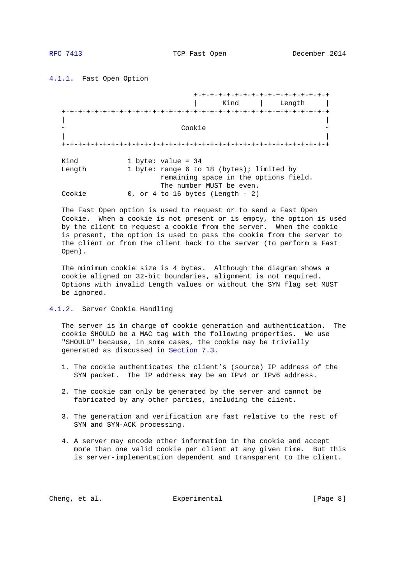<span id="page-7-1"></span><span id="page-7-0"></span>[4.1.1.](#page-7-0) Fast Open Option

 +-+-+-+-+-+-+-+-+-+-+-+-+-+-+-+-+ | Kind | Length | +-+-+-+-+-+-+-+-+-+-+-+-+-+-+-+-+-+-+-+-+-+-+-+-+-+-+-+-+-+-+-+-+ | |  $\sim$   $\sim$  Cookie  $\sim$  | | +-+-+-+-+-+-+-+-+-+-+-+-+-+-+-+-+-+-+-+-+-+-+-+-+-+-+-+-+-+-+-+-+ Kind 1 byte: value = 34 Length 1 byte: range 6 to 18 (bytes); limited by remaining space in the options field. The number MUST be even. Cookie 0, or 4 to 16 bytes (Length - 2)

 The Fast Open option is used to request or to send a Fast Open Cookie. When a cookie is not present or is empty, the option is used by the client to request a cookie from the server. When the cookie is present, the option is used to pass the cookie from the server to the client or from the client back to the server (to perform a Fast Open).

 The minimum cookie size is 4 bytes. Although the diagram shows a cookie aligned on 32-bit boundaries, alignment is not required. Options with invalid Length values or without the SYN flag set MUST be ignored.

<span id="page-7-2"></span>[4.1.2.](#page-7-2) Server Cookie Handling

 The server is in charge of cookie generation and authentication. The cookie SHOULD be a MAC tag with the following properties. We use "SHOULD" because, in some cases, the cookie may be trivially generated as discussed in [Section 7.3.](#page-19-2)

- 1. The cookie authenticates the client's (source) IP address of the SYN packet. The IP address may be an IPv4 or IPv6 address.
- 2. The cookie can only be generated by the server and cannot be fabricated by any other parties, including the client.
- 3. The generation and verification are fast relative to the rest of SYN and SYN-ACK processing.
- 4. A server may encode other information in the cookie and accept more than one valid cookie per client at any given time. But this is server-implementation dependent and transparent to the client.

Cheng, et al. Experimental [Page 8]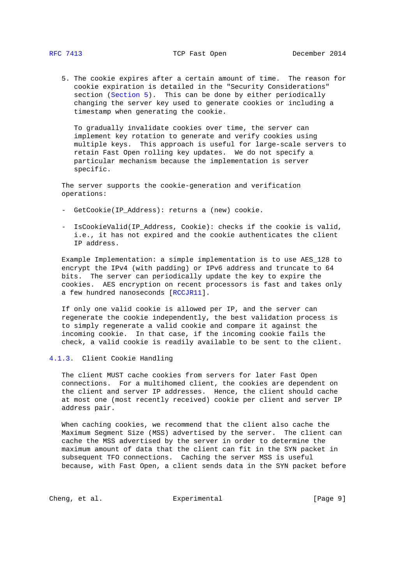<span id="page-8-1"></span> 5. The cookie expires after a certain amount of time. The reason for cookie expiration is detailed in the "Security Considerations" section [\(Section 5\)](#page-13-0). This can be done by either periodically changing the server key used to generate cookies or including a timestamp when generating the cookie.

 To gradually invalidate cookies over time, the server can implement key rotation to generate and verify cookies using multiple keys. This approach is useful for large-scale servers to retain Fast Open rolling key updates. We do not specify a particular mechanism because the implementation is server specific.

 The server supports the cookie-generation and verification operations:

- GetCookie(IP\_Address): returns a (new) cookie.
- IsCookieValid(IP\_Address, Cookie): checks if the cookie is valid, i.e., it has not expired and the cookie authenticates the client IP address.

 Example Implementation: a simple implementation is to use AES\_128 to encrypt the IPv4 (with padding) or IPv6 address and truncate to 64 bits. The server can periodically update the key to expire the cookies. AES encryption on recent processors is fast and takes only a few hundred nanoseconds [\[RCCJR11\]](#page-23-0).

 If only one valid cookie is allowed per IP, and the server can regenerate the cookie independently, the best validation process is to simply regenerate a valid cookie and compare it against the incoming cookie. In that case, if the incoming cookie fails the check, a valid cookie is readily available to be sent to the client.

### <span id="page-8-0"></span>[4.1.3.](#page-8-0) Client Cookie Handling

 The client MUST cache cookies from servers for later Fast Open connections. For a multihomed client, the cookies are dependent on the client and server IP addresses. Hence, the client should cache at most one (most recently received) cookie per client and server IP address pair.

 When caching cookies, we recommend that the client also cache the Maximum Segment Size (MSS) advertised by the server. The client can cache the MSS advertised by the server in order to determine the maximum amount of data that the client can fit in the SYN packet in subsequent TFO connections. Caching the server MSS is useful because, with Fast Open, a client sends data in the SYN packet before

Cheng, et al. Experimental Experimental [Page 9]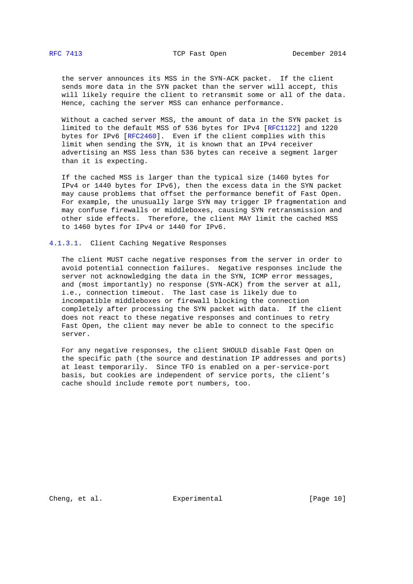<span id="page-9-1"></span> the server announces its MSS in the SYN-ACK packet. If the client sends more data in the SYN packet than the server will accept, this will likely require the client to retransmit some or all of the data. Hence, caching the server MSS can enhance performance.

 Without a cached server MSS, the amount of data in the SYN packet is limited to the default MSS of 536 bytes for IPv4 [\[RFC1122\]](http://tools.ietf.org/pdf/rfc1122) and 1220 bytes for IPv6 [\[RFC2460\]](http://tools.ietf.org/pdf/rfc2460). Even if the client complies with this limit when sending the SYN, it is known that an IPv4 receiver advertising an MSS less than 536 bytes can receive a segment larger than it is expecting.

 If the cached MSS is larger than the typical size (1460 bytes for IPv4 or 1440 bytes for IPv6), then the excess data in the SYN packet may cause problems that offset the performance benefit of Fast Open. For example, the unusually large SYN may trigger IP fragmentation and may confuse firewalls or middleboxes, causing SYN retransmission and other side effects. Therefore, the client MAY limit the cached MSS to 1460 bytes for IPv4 or 1440 for IPv6.

### <span id="page-9-0"></span>[4.1.3.1.](#page-9-0) Client Caching Negative Responses

 The client MUST cache negative responses from the server in order to avoid potential connection failures. Negative responses include the server not acknowledging the data in the SYN, ICMP error messages, and (most importantly) no response (SYN-ACK) from the server at all, i.e., connection timeout. The last case is likely due to incompatible middleboxes or firewall blocking the connection completely after processing the SYN packet with data. If the client does not react to these negative responses and continues to retry Fast Open, the client may never be able to connect to the specific server.

 For any negative responses, the client SHOULD disable Fast Open on the specific path (the source and destination IP addresses and ports) at least temporarily. Since TFO is enabled on a per-service-port basis, but cookies are independent of service ports, the client's cache should include remote port numbers, too.

Cheng, et al. Experimental [Page 10]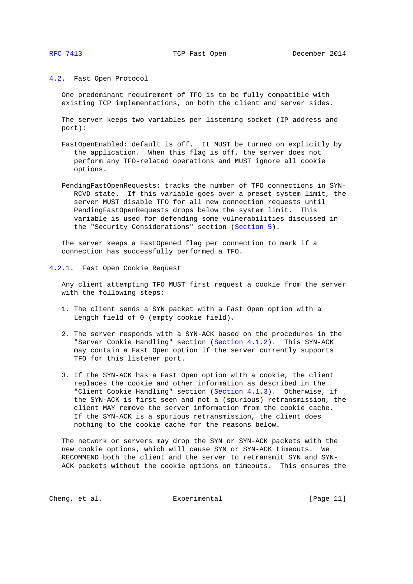<span id="page-10-1"></span>

## <span id="page-10-0"></span>[4.2.](#page-10-0) Fast Open Protocol

 One predominant requirement of TFO is to be fully compatible with existing TCP implementations, on both the client and server sides.

 The server keeps two variables per listening socket (IP address and port):

- FastOpenEnabled: default is off. It MUST be turned on explicitly by the application. When this flag is off, the server does not perform any TFO-related operations and MUST ignore all cookie options.
- PendingFastOpenRequests: tracks the number of TFO connections in SYN- RCVD state. If this variable goes over a preset system limit, the server MUST disable TFO for all new connection requests until PendingFastOpenRequests drops below the system limit. This variable is used for defending some vulnerabilities discussed in the "Security Considerations" section [\(Section 5\)](#page-13-0).

 The server keeps a FastOpened flag per connection to mark if a connection has successfully performed a TFO.

<span id="page-10-2"></span>[4.2.1.](#page-10-2) Fast Open Cookie Request

 Any client attempting TFO MUST first request a cookie from the server with the following steps:

- 1. The client sends a SYN packet with a Fast Open option with a Length field of 0 (empty cookie field).
- 2. The server responds with a SYN-ACK based on the procedures in the "Server Cookie Handling" section [\(Section 4.1.2\)](#page-7-2). This SYN-ACK may contain a Fast Open option if the server currently supports TFO for this listener port.
- 3. If the SYN-ACK has a Fast Open option with a cookie, the client replaces the cookie and other information as described in the "Client Cookie Handling" section [\(Section 4.1.3\)](#page-8-0). Otherwise, if the SYN-ACK is first seen and not a (spurious) retransmission, the client MAY remove the server information from the cookie cache. If the SYN-ACK is a spurious retransmission, the client does nothing to the cookie cache for the reasons below.

 The network or servers may drop the SYN or SYN-ACK packets with the new cookie options, which will cause SYN or SYN-ACK timeouts. We RECOMMEND both the client and the server to retransmit SYN and SYN- ACK packets without the cookie options on timeouts. This ensures the

Cheng, et al.  $\Box$  Experimental [Page 11]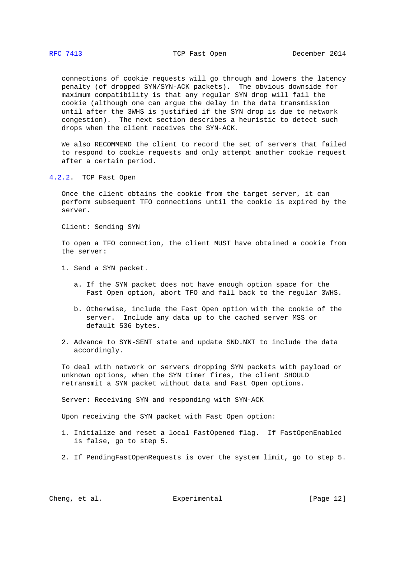<span id="page-11-1"></span> connections of cookie requests will go through and lowers the latency penalty (of dropped SYN/SYN-ACK packets). The obvious downside for maximum compatibility is that any regular SYN drop will fail the cookie (although one can argue the delay in the data transmission until after the 3WHS is justified if the SYN drop is due to network congestion). The next section describes a heuristic to detect such drops when the client receives the SYN-ACK.

 We also RECOMMEND the client to record the set of servers that failed to respond to cookie requests and only attempt another cookie request after a certain period.

<span id="page-11-0"></span>[4.2.2.](#page-11-0) TCP Fast Open

 Once the client obtains the cookie from the target server, it can perform subsequent TFO connections until the cookie is expired by the server.

Client: Sending SYN

 To open a TFO connection, the client MUST have obtained a cookie from the server:

- 1. Send a SYN packet.
	- a. If the SYN packet does not have enough option space for the Fast Open option, abort TFO and fall back to the regular 3WHS.
	- b. Otherwise, include the Fast Open option with the cookie of the server. Include any data up to the cached server MSS or default 536 bytes.
- 2. Advance to SYN-SENT state and update SND.NXT to include the data accordingly.

 To deal with network or servers dropping SYN packets with payload or unknown options, when the SYN timer fires, the client SHOULD retransmit a SYN packet without data and Fast Open options.

Server: Receiving SYN and responding with SYN-ACK

Upon receiving the SYN packet with Fast Open option:

- 1. Initialize and reset a local FastOpened flag. If FastOpenEnabled is false, go to step 5.
- 2. If PendingFastOpenRequests is over the system limit, go to step 5.

Cheng, et al. **Experimental** [Page 12]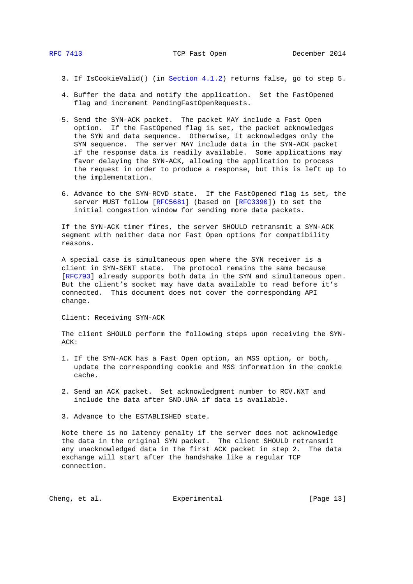- 3. If IsCookieValid() (in [Section 4.1.2\)](#page-7-2) returns false, go to step 5.
- 4. Buffer the data and notify the application. Set the FastOpened flag and increment PendingFastOpenRequests.
- 5. Send the SYN-ACK packet. The packet MAY include a Fast Open option. If the FastOpened flag is set, the packet acknowledges the SYN and data sequence. Otherwise, it acknowledges only the SYN sequence. The server MAY include data in the SYN-ACK packet if the response data is readily available. Some applications may favor delaying the SYN-ACK, allowing the application to process the request in order to produce a response, but this is left up to the implementation.
- 6. Advance to the SYN-RCVD state. If the FastOpened flag is set, the server MUST follow [\[RFC5681\]](http://tools.ietf.org/pdf/rfc5681) (based on [\[RFC3390\]](http://tools.ietf.org/pdf/rfc3390)) to set the initial congestion window for sending more data packets.

 If the SYN-ACK timer fires, the server SHOULD retransmit a SYN-ACK segment with neither data nor Fast Open options for compatibility reasons.

 A special case is simultaneous open where the SYN receiver is a client in SYN-SENT state. The protocol remains the same because [\[RFC793\]](http://tools.ietf.org/pdf/rfc793) already supports both data in the SYN and simultaneous open. But the client's socket may have data available to read before it's connected. This document does not cover the corresponding API change.

Client: Receiving SYN-ACK

 The client SHOULD perform the following steps upon receiving the SYN- ACK:

- 1. If the SYN-ACK has a Fast Open option, an MSS option, or both, update the corresponding cookie and MSS information in the cookie cache.
- 2. Send an ACK packet. Set acknowledgment number to RCV.NXT and include the data after SND.UNA if data is available.
- 3. Advance to the ESTABLISHED state.

 Note there is no latency penalty if the server does not acknowledge the data in the original SYN packet. The client SHOULD retransmit any unacknowledged data in the first ACK packet in step 2. The data exchange will start after the handshake like a regular TCP connection.

Cheng, et al. Experimental [Page 13]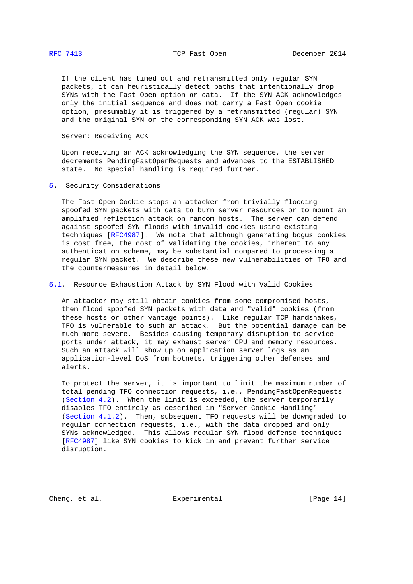<span id="page-13-1"></span> If the client has timed out and retransmitted only regular SYN packets, it can heuristically detect paths that intentionally drop SYNs with the Fast Open option or data. If the SYN-ACK acknowledges only the initial sequence and does not carry a Fast Open cookie option, presumably it is triggered by a retransmitted (regular) SYN and the original SYN or the corresponding SYN-ACK was lost.

Server: Receiving ACK

 Upon receiving an ACK acknowledging the SYN sequence, the server decrements PendingFastOpenRequests and advances to the ESTABLISHED state. No special handling is required further.

<span id="page-13-0"></span>[5.](#page-13-0) Security Considerations

 The Fast Open Cookie stops an attacker from trivially flooding spoofed SYN packets with data to burn server resources or to mount an amplified reflection attack on random hosts. The server can defend against spoofed SYN floods with invalid cookies using existing techniques [\[RFC4987\]](http://tools.ietf.org/pdf/rfc4987). We note that although generating bogus cookies is cost free, the cost of validating the cookies, inherent to any authentication scheme, may be substantial compared to processing a regular SYN packet. We describe these new vulnerabilities of TFO and the countermeasures in detail below.

<span id="page-13-2"></span>[5.1.](#page-13-2) Resource Exhaustion Attack by SYN Flood with Valid Cookies

 An attacker may still obtain cookies from some compromised hosts, then flood spoofed SYN packets with data and "valid" cookies (from these hosts or other vantage points). Like regular TCP handshakes, TFO is vulnerable to such an attack. But the potential damage can be much more severe. Besides causing temporary disruption to service ports under attack, it may exhaust server CPU and memory resources. Such an attack will show up on application server logs as an application-level DoS from botnets, triggering other defenses and alerts.

 To protect the server, it is important to limit the maximum number of total pending TFO connection requests, i.e., PendingFastOpenRequests [\(Section 4.2\)](#page-10-0). When the limit is exceeded, the server temporarily disables TFO entirely as described in "Server Cookie Handling" [\(Section 4.1.2\)](#page-7-2). Then, subsequent TFO requests will be downgraded to regular connection requests, i.e., with the data dropped and only SYNs acknowledged. This allows regular SYN flood defense techniques [\[RFC4987\]](http://tools.ietf.org/pdf/rfc4987) like SYN cookies to kick in and prevent further service disruption.

Cheng, et al. Experimental [Page 14]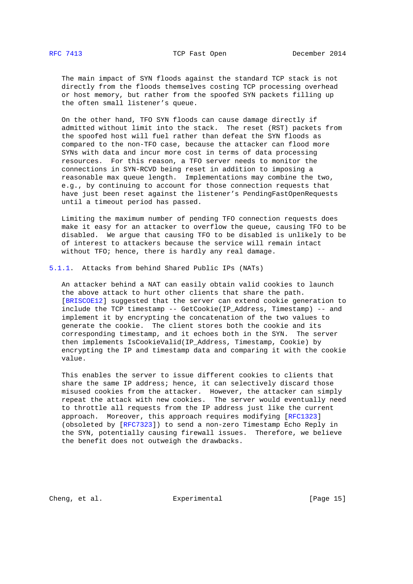<span id="page-14-1"></span> The main impact of SYN floods against the standard TCP stack is not directly from the floods themselves costing TCP processing overhead or host memory, but rather from the spoofed SYN packets filling up the often small listener's queue.

 On the other hand, TFO SYN floods can cause damage directly if admitted without limit into the stack. The reset (RST) packets from the spoofed host will fuel rather than defeat the SYN floods as compared to the non-TFO case, because the attacker can flood more SYNs with data and incur more cost in terms of data processing resources. For this reason, a TFO server needs to monitor the connections in SYN-RCVD being reset in addition to imposing a reasonable max queue length. Implementations may combine the two, e.g., by continuing to account for those connection requests that have just been reset against the listener's PendingFastOpenRequests until a timeout period has passed.

 Limiting the maximum number of pending TFO connection requests does make it easy for an attacker to overflow the queue, causing TFO to be disabled. We argue that causing TFO to be disabled is unlikely to be of interest to attackers because the service will remain intact without TFO; hence, there is hardly any real damage.

# <span id="page-14-0"></span>[5.1.1.](#page-14-0) Attacks from behind Shared Public IPs (NATs)

 An attacker behind a NAT can easily obtain valid cookies to launch the above attack to hurt other clients that share the path. [\[BRISCOE12\]](#page-22-3) suggested that the server can extend cookie generation to include the TCP timestamp -- GetCookie(IP\_Address, Timestamp) -- and implement it by encrypting the concatenation of the two values to generate the cookie. The client stores both the cookie and its corresponding timestamp, and it echoes both in the SYN. The server then implements IsCookieValid(IP\_Address, Timestamp, Cookie) by encrypting the IP and timestamp data and comparing it with the cookie value.

 This enables the server to issue different cookies to clients that share the same IP address; hence, it can selectively discard those misused cookies from the attacker. However, the attacker can simply repeat the attack with new cookies. The server would eventually need to throttle all requests from the IP address just like the current approach. Moreover, this approach requires modifying [\[RFC1323\]](http://tools.ietf.org/pdf/rfc1323) (obsoleted by [\[RFC7323\]](http://tools.ietf.org/pdf/rfc7323)) to send a non-zero Timestamp Echo Reply in the SYN, potentially causing firewall issues. Therefore, we believe the benefit does not outweigh the drawbacks.

Cheng, et al. Experimental [Page 15]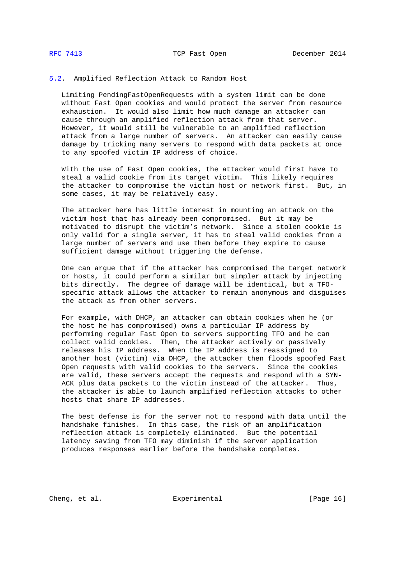### <span id="page-15-1"></span><span id="page-15-0"></span>[5.2.](#page-15-0) Amplified Reflection Attack to Random Host

 Limiting PendingFastOpenRequests with a system limit can be done without Fast Open cookies and would protect the server from resource exhaustion. It would also limit how much damage an attacker can cause through an amplified reflection attack from that server. However, it would still be vulnerable to an amplified reflection attack from a large number of servers. An attacker can easily cause damage by tricking many servers to respond with data packets at once to any spoofed victim IP address of choice.

 With the use of Fast Open cookies, the attacker would first have to steal a valid cookie from its target victim. This likely requires the attacker to compromise the victim host or network first. But, in some cases, it may be relatively easy.

 The attacker here has little interest in mounting an attack on the victim host that has already been compromised. But it may be motivated to disrupt the victim's network. Since a stolen cookie is only valid for a single server, it has to steal valid cookies from a large number of servers and use them before they expire to cause sufficient damage without triggering the defense.

 One can argue that if the attacker has compromised the target network or hosts, it could perform a similar but simpler attack by injecting bits directly. The degree of damage will be identical, but a TFO specific attack allows the attacker to remain anonymous and disguises the attack as from other servers.

 For example, with DHCP, an attacker can obtain cookies when he (or the host he has compromised) owns a particular IP address by performing regular Fast Open to servers supporting TFO and he can collect valid cookies. Then, the attacker actively or passively releases his IP address. When the IP address is reassigned to another host (victim) via DHCP, the attacker then floods spoofed Fast Open requests with valid cookies to the servers. Since the cookies are valid, these servers accept the requests and respond with a SYN- ACK plus data packets to the victim instead of the attacker. Thus, the attacker is able to launch amplified reflection attacks to other hosts that share IP addresses.

 The best defense is for the server not to respond with data until the handshake finishes. In this case, the risk of an amplification reflection attack is completely eliminated. But the potential latency saving from TFO may diminish if the server application produces responses earlier before the handshake completes.

Cheng, et al. Experimental [Page 16]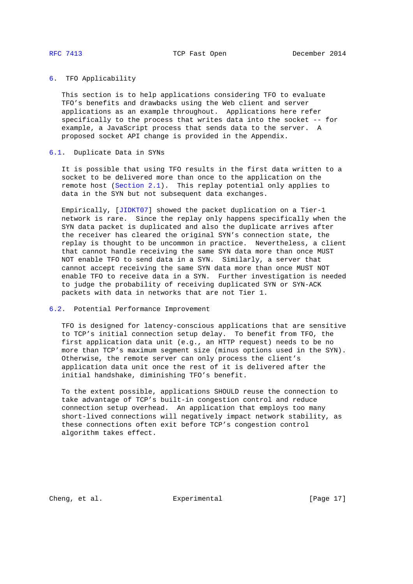# <span id="page-16-1"></span><span id="page-16-0"></span>[6.](#page-16-0) TFO Applicability

 This section is to help applications considering TFO to evaluate TFO's benefits and drawbacks using the Web client and server applications as an example throughout. Applications here refer specifically to the process that writes data into the socket -- for example, a JavaScript process that sends data to the server. A proposed socket API change is provided in the Appendix.

### <span id="page-16-2"></span>[6.1.](#page-16-2) Duplicate Data in SYNs

 It is possible that using TFO results in the first data written to a socket to be delivered more than once to the application on the remote host [\(Section 2.1\)](#page-3-3). This replay potential only applies to data in the SYN but not subsequent data exchanges.

 Empirically, [\[JIDKT07\]](#page-22-4) showed the packet duplication on a Tier-1 network is rare. Since the replay only happens specifically when the SYN data packet is duplicated and also the duplicate arrives after the receiver has cleared the original SYN's connection state, the replay is thought to be uncommon in practice. Nevertheless, a client that cannot handle receiving the same SYN data more than once MUST NOT enable TFO to send data in a SYN. Similarly, a server that cannot accept receiving the same SYN data more than once MUST NOT enable TFO to receive data in a SYN. Further investigation is needed to judge the probability of receiving duplicated SYN or SYN-ACK packets with data in networks that are not Tier 1.

## <span id="page-16-3"></span>[6.2.](#page-16-3) Potential Performance Improvement

 TFO is designed for latency-conscious applications that are sensitive to TCP's initial connection setup delay. To benefit from TFO, the first application data unit (e.g., an HTTP request) needs to be no more than TCP's maximum segment size (minus options used in the SYN). Otherwise, the remote server can only process the client's application data unit once the rest of it is delivered after the initial handshake, diminishing TFO's benefit.

 To the extent possible, applications SHOULD reuse the connection to take advantage of TCP's built-in congestion control and reduce connection setup overhead. An application that employs too many short-lived connections will negatively impact network stability, as these connections often exit before TCP's congestion control algorithm takes effect.

Cheng, et al. Experimental [Page 17]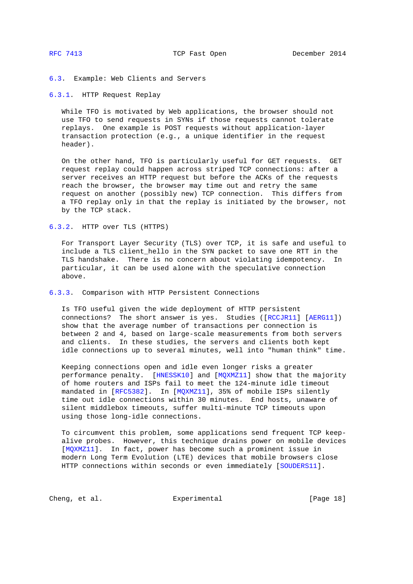# <span id="page-17-1"></span><span id="page-17-0"></span>[6.3.](#page-17-0) Example: Web Clients and Servers

## <span id="page-17-2"></span>[6.3.1.](#page-17-2) HTTP Request Replay

 While TFO is motivated by Web applications, the browser should not use TFO to send requests in SYNs if those requests cannot tolerate replays. One example is POST requests without application-layer transaction protection (e.g., a unique identifier in the request header).

 On the other hand, TFO is particularly useful for GET requests. GET request replay could happen across striped TCP connections: after a server receives an HTTP request but before the ACKs of the requests reach the browser, the browser may time out and retry the same request on another (possibly new) TCP connection. This differs from a TFO replay only in that the replay is initiated by the browser, not by the TCP stack.

<span id="page-17-3"></span>[6.3.2.](#page-17-3) HTTP over TLS (HTTPS)

 For Transport Layer Security (TLS) over TCP, it is safe and useful to include a TLS client\_hello in the SYN packet to save one RTT in the TLS handshake. There is no concern about violating idempotency. In particular, it can be used alone with the speculative connection above.

<span id="page-17-4"></span>[6.3.3.](#page-17-4) Comparison with HTTP Persistent Connections

 Is TFO useful given the wide deployment of HTTP persistent connections? The short answer is yes. Studies ([\[RCCJR11\]](#page-23-0) [\[AERG11\]](#page-22-5)) show that the average number of transactions per connection is between 2 and 4, based on large-scale measurements from both servers and clients. In these studies, the servers and clients both kept idle connections up to several minutes, well into "human think" time.

 Keeping connections open and idle even longer risks a greater performance penalty. [\[HNESSK10\]](#page-22-6) and [\[MQXMZ11\]](#page-22-7) show that the majority of home routers and ISPs fail to meet the 124-minute idle timeout mandated in [\[RFC5382\]](http://tools.ietf.org/pdf/rfc5382). In [\[MQXMZ11\]](#page-22-7), 35% of mobile ISPs silently time out idle connections within 30 minutes. End hosts, unaware of silent middlebox timeouts, suffer multi-minute TCP timeouts upon using those long-idle connections.

 To circumvent this problem, some applications send frequent TCP keep alive probes. However, this technique drains power on mobile devices [\[MQXMZ11\]](#page-22-7). In fact, power has become such a prominent issue in modern Long Term Evolution (LTE) devices that mobile browsers close HTTP connections within seconds or even immediately [\[SOUDERS11\]](#page-23-1).

Cheng, et al. Experimental [Page 18]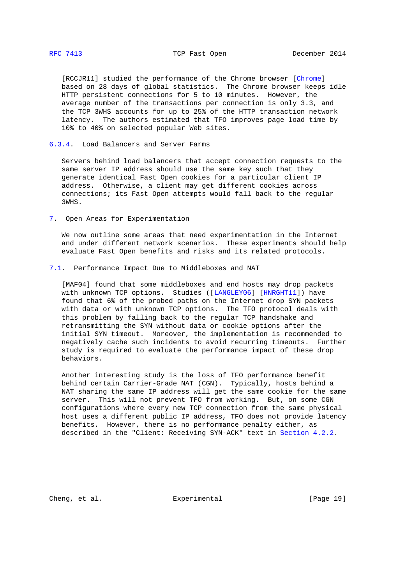<span id="page-18-1"></span> [RCCJR11] studied the performance of the Chrome browser [\[Chrome\]](#page-22-2) based on 28 days of global statistics. The Chrome browser keeps idle HTTP persistent connections for 5 to 10 minutes. However, the average number of the transactions per connection is only 3.3, and the TCP 3WHS accounts for up to 25% of the HTTP transaction network latency. The authors estimated that TFO improves page load time by 10% to 40% on selected popular Web sites.

<span id="page-18-0"></span>[6.3.4.](#page-18-0) Load Balancers and Server Farms

 Servers behind load balancers that accept connection requests to the same server IP address should use the same key such that they generate identical Fast Open cookies for a particular client IP address. Otherwise, a client may get different cookies across connections; its Fast Open attempts would fall back to the regular 3WHS.

<span id="page-18-2"></span>[7.](#page-18-2) Open Areas for Experimentation

 We now outline some areas that need experimentation in the Internet and under different network scenarios. These experiments should help evaluate Fast Open benefits and risks and its related protocols.

<span id="page-18-3"></span>[7.1.](#page-18-3) Performance Impact Due to Middleboxes and NAT

 [MAF04] found that some middleboxes and end hosts may drop packets with unknown TCP options. Studies ([\[LANGLEY06\]](#page-22-8) [\[HNRGHT11\]](#page-22-9)) have found that 6% of the probed paths on the Internet drop SYN packets with data or with unknown TCP options. The TFO protocol deals with this problem by falling back to the regular TCP handshake and retransmitting the SYN without data or cookie options after the initial SYN timeout. Moreover, the implementation is recommended to negatively cache such incidents to avoid recurring timeouts. Further study is required to evaluate the performance impact of these drop behaviors.

 Another interesting study is the loss of TFO performance benefit behind certain Carrier-Grade NAT (CGN). Typically, hosts behind a NAT sharing the same IP address will get the same cookie for the same server. This will not prevent TFO from working. But, on some CGN configurations where every new TCP connection from the same physical host uses a different public IP address, TFO does not provide latency benefits. However, there is no performance penalty either, as described in the "Client: Receiving SYN-ACK" text in [Section 4.2.2.](#page-11-0)

Cheng, et al. Experimental [Page 19]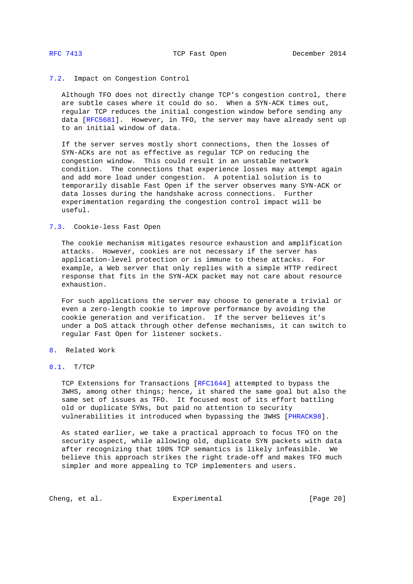## <span id="page-19-1"></span><span id="page-19-0"></span>[7.2.](#page-19-0) Impact on Congestion Control

 Although TFO does not directly change TCP's congestion control, there are subtle cases where it could do so. When a SYN-ACK times out, regular TCP reduces the initial congestion window before sending any data [\[RFC5681\]](http://tools.ietf.org/pdf/rfc5681). However, in TFO, the server may have already sent up to an initial window of data.

 If the server serves mostly short connections, then the losses of SYN-ACKs are not as effective as regular TCP on reducing the congestion window. This could result in an unstable network condition. The connections that experience losses may attempt again and add more load under congestion. A potential solution is to temporarily disable Fast Open if the server observes many SYN-ACK or data losses during the handshake across connections. Further experimentation regarding the congestion control impact will be useful.

# <span id="page-19-2"></span>[7.3.](#page-19-2) Cookie-less Fast Open

 The cookie mechanism mitigates resource exhaustion and amplification attacks. However, cookies are not necessary if the server has application-level protection or is immune to these attacks. For example, a Web server that only replies with a simple HTTP redirect response that fits in the SYN-ACK packet may not care about resource exhaustion.

 For such applications the server may choose to generate a trivial or even a zero-length cookie to improve performance by avoiding the cookie generation and verification. If the server believes it's under a DoS attack through other defense mechanisms, it can switch to regular Fast Open for listener sockets.

# <span id="page-19-3"></span>[8.](#page-19-3) Related Work

# <span id="page-19-4"></span>[8.1.](#page-19-4) T/TCP

 TCP Extensions for Transactions [\[RFC1644\]](http://tools.ietf.org/pdf/rfc1644) attempted to bypass the 3WHS, among other things; hence, it shared the same goal but also the same set of issues as TFO. It focused most of its effort battling old or duplicate SYNs, but paid no attention to security vulnerabilities it introduced when bypassing the 3WHS [\[PHRACK98\]](#page-23-2).

 As stated earlier, we take a practical approach to focus TFO on the security aspect, while allowing old, duplicate SYN packets with data after recognizing that 100% TCP semantics is likely infeasible. We believe this approach strikes the right trade-off and makes TFO much simpler and more appealing to TCP implementers and users.

Cheng, et al. Experimental [Page 20]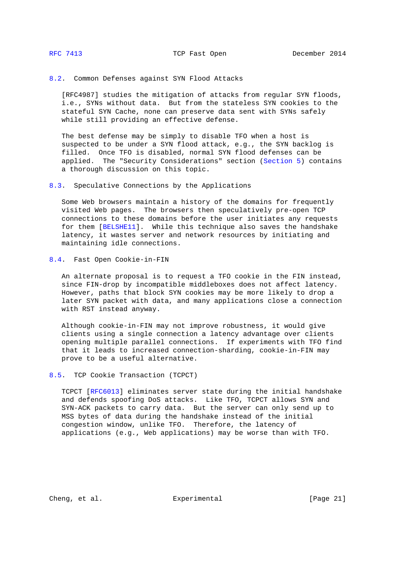<span id="page-20-1"></span><span id="page-20-0"></span>[8.2.](#page-20-0) Common Defenses against SYN Flood Attacks

 [RFC4987] studies the mitigation of attacks from regular SYN floods, i.e., SYNs without data. But from the stateless SYN cookies to the stateful SYN Cache, none can preserve data sent with SYNs safely while still providing an effective defense.

 The best defense may be simply to disable TFO when a host is suspected to be under a SYN flood attack, e.g., the SYN backlog is filled. Once TFO is disabled, normal SYN flood defenses can be applied. The "Security Considerations" section [\(Section 5\)](#page-13-0) contains a thorough discussion on this topic.

<span id="page-20-2"></span>[8.3.](#page-20-2) Speculative Connections by the Applications

 Some Web browsers maintain a history of the domains for frequently visited Web pages. The browsers then speculatively pre-open TCP connections to these domains before the user initiates any requests for them [\[BELSHE11\]](#page-22-10). While this technique also saves the handshake latency, it wastes server and network resources by initiating and maintaining idle connections.

<span id="page-20-3"></span>[8.4.](#page-20-3) Fast Open Cookie-in-FIN

 An alternate proposal is to request a TFO cookie in the FIN instead, since FIN-drop by incompatible middleboxes does not affect latency. However, paths that block SYN cookies may be more likely to drop a later SYN packet with data, and many applications close a connection with RST instead anyway.

 Although cookie-in-FIN may not improve robustness, it would give clients using a single connection a latency advantage over clients opening multiple parallel connections. If experiments with TFO find that it leads to increased connection-sharding, cookie-in-FIN may prove to be a useful alternative.

<span id="page-20-4"></span>[8.5.](#page-20-4) TCP Cookie Transaction (TCPCT)

 TCPCT [\[RFC6013\]](http://tools.ietf.org/pdf/rfc6013) eliminates server state during the initial handshake and defends spoofing DoS attacks. Like TFO, TCPCT allows SYN and SYN-ACK packets to carry data. But the server can only send up to MSS bytes of data during the handshake instead of the initial congestion window, unlike TFO. Therefore, the latency of applications (e.g., Web applications) may be worse than with TFO.

Cheng, et al. Experimental [Page 21]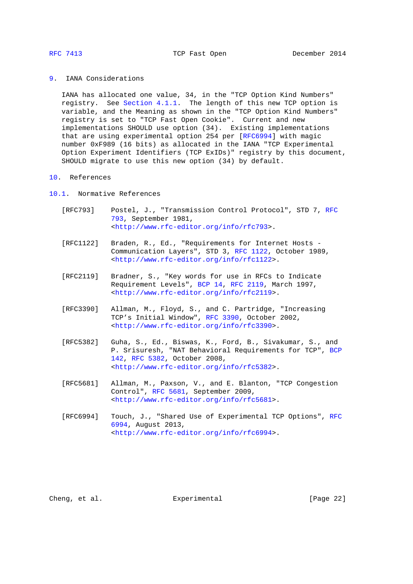<span id="page-21-1"></span><span id="page-21-0"></span>[9.](#page-21-0) IANA Considerations

 IANA has allocated one value, 34, in the "TCP Option Kind Numbers" registry. See [Section 4.1.1.](#page-7-0) The length of this new TCP option is variable, and the Meaning as shown in the "TCP Option Kind Numbers" registry is set to "TCP Fast Open Cookie". Current and new implementations SHOULD use option (34). Existing implementations that are using experimental option 254 per [\[RFC6994\]](http://tools.ietf.org/pdf/rfc6994) with magic number 0xF989 (16 bits) as allocated in the IANA "TCP Experimental Option Experiment Identifiers (TCP ExIDs)" registry by this document, SHOULD migrate to use this new option (34) by default.

## <span id="page-21-2"></span>[10.](#page-21-2) References

# <span id="page-21-3"></span>[10.1.](#page-21-3) Normative References

- [RFC793] Postel, J., "Transmission Control Protocol", STD 7, [RFC](http://tools.ietf.org/pdf/rfc793) [793,](http://tools.ietf.org/pdf/rfc793) September 1981, [<http://www.rfc-editor.org/info/rfc793>](http://www.rfc-editor.org/info/rfc793).
- [RFC1122] Braden, R., Ed., "Requirements for Internet Hosts Communication Layers", STD 3, [RFC 1122,](http://tools.ietf.org/pdf/rfc1122) October 1989, [<http://www.rfc-editor.org/info/rfc1122>](http://www.rfc-editor.org/info/rfc1122).
- [RFC2119] Bradner, S., "Key words for use in RFCs to Indicate Requirement Levels", [BCP 14,](http://tools.ietf.org/pdf/bcp14) [RFC 2119,](http://tools.ietf.org/pdf/rfc2119) March 1997, [<http://www.rfc-editor.org/info/rfc2119>](http://www.rfc-editor.org/info/rfc2119).
- [RFC3390] Allman, M., Floyd, S., and C. Partridge, "Increasing TCP's Initial Window", [RFC 3390,](http://tools.ietf.org/pdf/rfc3390) October 2002, [<http://www.rfc-editor.org/info/rfc3390>](http://www.rfc-editor.org/info/rfc3390).
- [RFC5382] Guha, S., Ed., Biswas, K., Ford, B., Sivakumar, S., and P. Srisuresh, "NAT Behavioral Requirements for TCP", [BCP](http://tools.ietf.org/pdf/bcp142) [142,](http://tools.ietf.org/pdf/bcp142) [RFC 5382,](http://tools.ietf.org/pdf/rfc5382) October 2008, [<http://www.rfc-editor.org/info/rfc5382>](http://www.rfc-editor.org/info/rfc5382).
- [RFC5681] Allman, M., Paxson, V., and E. Blanton, "TCP Congestion Control", [RFC 5681,](http://tools.ietf.org/pdf/rfc5681) September 2009, [<http://www.rfc-editor.org/info/rfc5681>](http://www.rfc-editor.org/info/rfc5681).
- [RFC6994] Touch, J., "Shared Use of Experimental TCP Options", [RFC](http://tools.ietf.org/pdf/rfc6994) [6994,](http://tools.ietf.org/pdf/rfc6994) August 2013, [<http://www.rfc-editor.org/info/rfc6994>](http://www.rfc-editor.org/info/rfc6994).

Cheng, et al. Experimental Experimental [Page 22]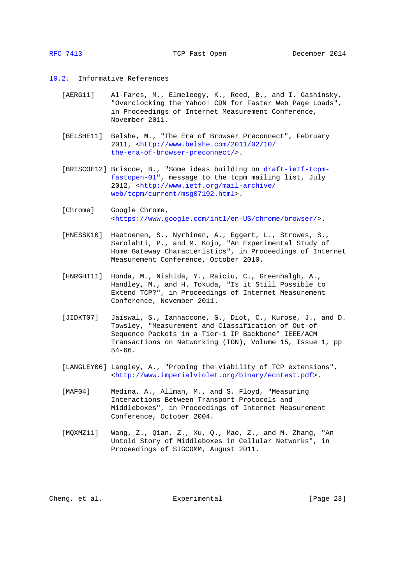### <span id="page-22-5"></span><span id="page-22-1"></span><span id="page-22-0"></span>[10.2.](#page-22-0) Informative References

- [AERG11] Al-Fares, M., Elmeleegy, K., Reed, B., and I. Gashinsky, "Overclocking the Yahoo! CDN for Faster Web Page Loads", in Proceedings of Internet Measurement Conference, November 2011.
- <span id="page-22-10"></span> [BELSHE11] Belshe, M., "The Era of Browser Preconnect", February 2011, [<http://www.belshe.com/2011/02/10/](http://www.belshe.com/2011/02/10/the-era-of-browser-preconnect/) [the-era-of-browser-preconnect/>](http://www.belshe.com/2011/02/10/the-era-of-browser-preconnect/).
- <span id="page-22-3"></span> [BRISCOE12] Briscoe, B., "Some ideas building on [draft-ietf-tcpm](http://tools.ietf.org/pdf/draft-ietf-tcpm-fastopen-01) [fastopen-01"](http://tools.ietf.org/pdf/draft-ietf-tcpm-fastopen-01), message to the tcpm mailing list, July 2012, [<http://www.ietf.org/mail-archive/](http://www.ietf.org/mail-archive/web/tcpm/current/msg07192.html) [web/tcpm/current/msg07192.html>](http://www.ietf.org/mail-archive/web/tcpm/current/msg07192.html).
- <span id="page-22-2"></span>[Chrome] Google Chrome, [<https://www.google.com/intl/en-US/chrome/browser/>](https://www.google.com/intl/en-US/chrome/browser/).
- <span id="page-22-6"></span> [HNESSK10] Haetoenen, S., Nyrhinen, A., Eggert, L., Strowes, S., Sarolahti, P., and M. Kojo, "An Experimental Study of Home Gateway Characteristics", in Proceedings of Internet Measurement Conference, October 2010.
- <span id="page-22-9"></span> [HNRGHT11] Honda, M., Nishida, Y., Raiciu, C., Greenhalgh, A., Handley, M., and H. Tokuda, "Is it Still Possible to Extend TCP?", in Proceedings of Internet Measurement Conference, November 2011.
- <span id="page-22-4"></span> [JIDKT07] Jaiswal, S., Iannaccone, G., Diot, C., Kurose, J., and D. Towsley, "Measurement and Classification of Out-of- Sequence Packets in a Tier-1 IP Backbone" IEEE/ACM Transactions on Networking (TON), Volume 15, Issue 1, pp 54-66.
- <span id="page-22-8"></span> [LANGLEY06] Langley, A., "Probing the viability of TCP extensions", [<http://www.imperialviolet.org/binary/ecntest.pdf>](http://www.imperialviolet.org/binary/ecntest.pdf).
- [MAF04] Medina, A., Allman, M., and S. Floyd, "Measuring Interactions Between Transport Protocols and Middleboxes", in Proceedings of Internet Measurement Conference, October 2004.
- <span id="page-22-7"></span> [MQXMZ11] Wang, Z., Qian, Z., Xu, Q., Mao, Z., and M. Zhang, "An Untold Story of Middleboxes in Cellular Networks", in Proceedings of SIGCOMM, August 2011.

Cheng, et al.  $\Box$  Experimental  $\Box$  [Page 23]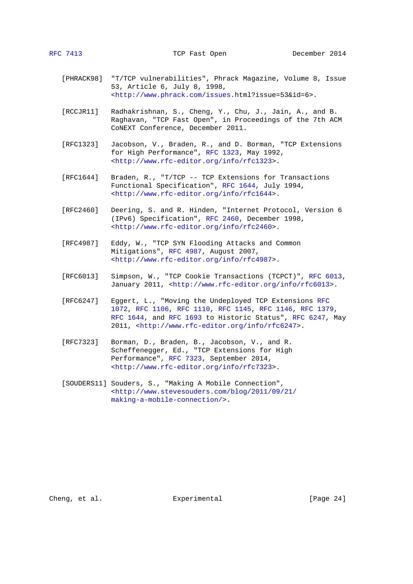- <span id="page-23-2"></span> [PHRACK98] "T/TCP vulnerabilities", Phrack Magazine, Volume 8, Issue 53, Article 6, July 8, 1998, [<http://www.phrack.com/issues.](http://www.phrack.com/issues)html?issue=53&id=6>.
- <span id="page-23-0"></span> [RCCJR11] Radhakrishnan, S., Cheng, Y., Chu, J., Jain, A., and B. Raghavan, "TCP Fast Open", in Proceedings of the 7th ACM CoNEXT Conference, December 2011.
- [RFC1323] Jacobson, V., Braden, R., and D. Borman, "TCP Extensions for High Performance", [RFC 1323,](http://tools.ietf.org/pdf/rfc1323) May 1992, [<http://www.rfc-editor.org/info/rfc1323>](http://www.rfc-editor.org/info/rfc1323).
- [RFC1644] Braden, R., "T/TCP -- TCP Extensions for Transactions Functional Specification", [RFC 1644,](http://tools.ietf.org/pdf/rfc1644) July 1994, [<http://www.rfc-editor.org/info/rfc1644>](http://www.rfc-editor.org/info/rfc1644).
- [RFC2460] Deering, S. and R. Hinden, "Internet Protocol, Version 6 (IPv6) Specification", [RFC 2460,](http://tools.ietf.org/pdf/rfc2460) December 1998, [<http://www.rfc-editor.org/info/rfc2460>](http://www.rfc-editor.org/info/rfc2460).
- [RFC4987] Eddy, W., "TCP SYN Flooding Attacks and Common Mitigations", [RFC 4987,](http://tools.ietf.org/pdf/rfc4987) August 2007, [<http://www.rfc-editor.org/info/rfc4987>](http://www.rfc-editor.org/info/rfc4987).
- [RFC6013] Simpson, W., "TCP Cookie Transactions (TCPCT)", [RFC 6013,](http://tools.ietf.org/pdf/rfc6013) January 2011, [<http://www.rfc-editor.org/info/rfc6013>](http://www.rfc-editor.org/info/rfc6013).
- [RFC6247] Eggert, L., "Moving the Undeployed TCP Extensions [RFC](http://tools.ietf.org/pdf/rfc1072) [1072,](http://tools.ietf.org/pdf/rfc1072) [RFC 1106,](http://tools.ietf.org/pdf/rfc1106) [RFC 1110,](http://tools.ietf.org/pdf/rfc1110) [RFC 1145,](http://tools.ietf.org/pdf/rfc1145) [RFC 1146,](http://tools.ietf.org/pdf/rfc1146) [RFC 1379,](http://tools.ietf.org/pdf/rfc1379) [RFC 1644,](http://tools.ietf.org/pdf/rfc1644) and [RFC 1693](http://tools.ietf.org/pdf/rfc1693) to Historic Status", [RFC 6247,](http://tools.ietf.org/pdf/rfc6247) May 2011, [<http://www.rfc-editor.org/info/rfc6247>](http://www.rfc-editor.org/info/rfc6247).
- [RFC7323] Borman, D., Braden, B., Jacobson, V., and R. Scheffenegger, Ed., "TCP Extensions for High Performance", [RFC 7323,](http://tools.ietf.org/pdf/rfc7323) September 2014, [<http://www.rfc-editor.org/info/rfc7323>](http://www.rfc-editor.org/info/rfc7323).
- <span id="page-23-1"></span> [SOUDERS11] Souders, S., "Making A Mobile Connection", [<http://www.stevesouders.com/blog/2011/09/21/](http://www.stevesouders.com/blog/2011/09/21/making-a-mobile-connection/) [making-a-mobile-connection/>](http://www.stevesouders.com/blog/2011/09/21/making-a-mobile-connection/).

Cheng, et al. Experimental Experimental [Page 24]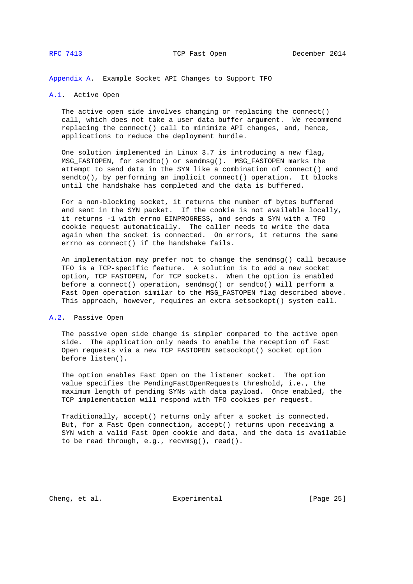<span id="page-24-1"></span><span id="page-24-0"></span>[Appendix A.](#page-24-0) Example Socket API Changes to Support TFO

## <span id="page-24-2"></span>[A.1.](#page-24-2) Active Open

 The active open side involves changing or replacing the connect() call, which does not take a user data buffer argument. We recommend replacing the connect() call to minimize API changes, and, hence, applications to reduce the deployment hurdle.

 One solution implemented in Linux 3.7 is introducing a new flag, MSG\_FASTOPEN, for sendto() or sendmsg(). MSG\_FASTOPEN marks the attempt to send data in the SYN like a combination of connect() and sendto(), by performing an implicit connect() operation. It blocks until the handshake has completed and the data is buffered.

 For a non-blocking socket, it returns the number of bytes buffered and sent in the SYN packet. If the cookie is not available locally, it returns -1 with errno EINPROGRESS, and sends a SYN with a TFO cookie request automatically. The caller needs to write the data again when the socket is connected. On errors, it returns the same errno as connect() if the handshake fails.

 An implementation may prefer not to change the sendmsg() call because TFO is a TCP-specific feature. A solution is to add a new socket option, TCP\_FASTOPEN, for TCP sockets. When the option is enabled before a connect() operation, sendmsg() or sendto() will perform a Fast Open operation similar to the MSG\_FASTOPEN flag described above. This approach, however, requires an extra setsockopt() system call.

# <span id="page-24-3"></span>[A.2.](#page-24-3) Passive Open

 The passive open side change is simpler compared to the active open side. The application only needs to enable the reception of Fast Open requests via a new TCP\_FASTOPEN setsockopt() socket option before listen().

 The option enables Fast Open on the listener socket. The option value specifies the PendingFastOpenRequests threshold, i.e., the maximum length of pending SYNs with data payload. Once enabled, the TCP implementation will respond with TFO cookies per request.

 Traditionally, accept() returns only after a socket is connected. But, for a Fast Open connection, accept() returns upon receiving a SYN with a valid Fast Open cookie and data, and the data is available to be read through, e.g., recvmsg(), read().

Cheng, et al. Experimental [Page 25]